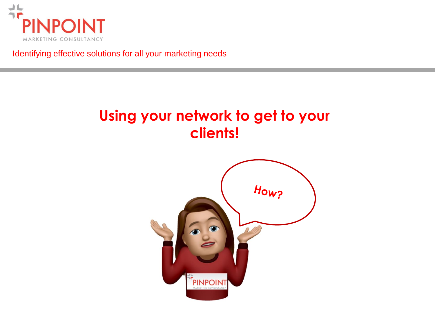

Identifying effective solutions for all your marketing needs

# **Using your network to get to your clients!**

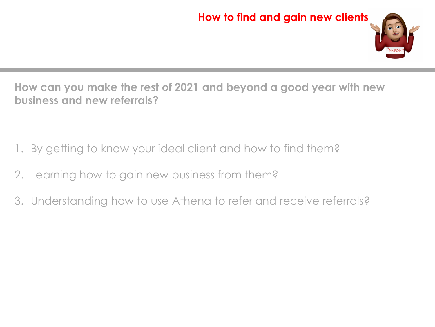

**How can you make the rest of 2021 and beyond a good year with new business and new referrals?**

- 1. By getting to know your ideal client and how to find them?
- 2. Learning how to gain new business from them?
- 3. Understanding how to use Athena to refer and receive referrals?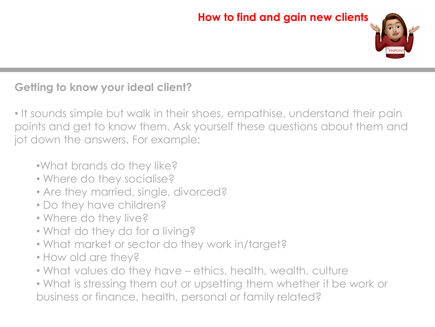

# **Getting to know your ideal client?**

• It sounds simple but walk in their shoes, empathise, understand their pain points and get to know them. Ask yourself these questions about them and jot down the answers. For example:

- •What brands do they like?
- Where do they socialise?
- Are they married, single, divorced?
- Do they have children?
- Where do they live?
- What do they do for a living?
- What market or sector do they work in/target?
- How old are they?
- What values do they have ethics, health, wealth, culture

• What is stressing them out or upsetting them whether it be work or business or finance, health, personal or family related?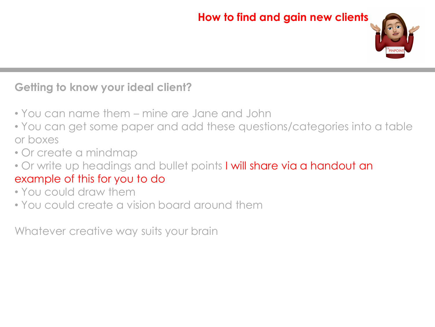

### **Getting to know your ideal client?**

- You can name them mine are Jane and John
- You can get some paper and add these questions/categories into a table or boxes
- Or create a mindmap
- Or write up headings and bullet points I will share via a handout an example of this for you to do
- You could draw them
- You could create a vision board around them

Whatever creative way suits your brain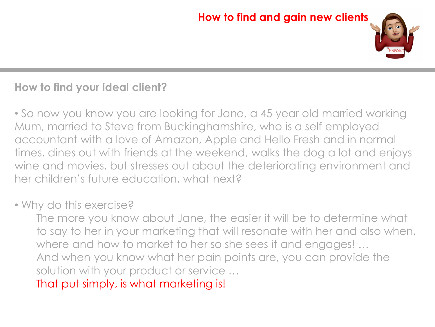

# **How to find your ideal client?**

• So now you know you are looking for Jane, a 45 year old married working Mum, married to Steve from Buckinghamshire, who is a self employed accountant with a love of Amazon, Apple and Hello Fresh and in normal times, dines out with friends at the weekend, walks the dog a lot and enjoys wine and movies, but stresses out about the deteriorating environment and her children's future education, what next?

#### • Why do this exercise?

The more you know about Jane, the easier it will be to determine what to say to her in your marketing that will resonate with her and also when, where and how to market to her so she sees it and engages! … And when you know what her pain points are, you can provide the solution with your product or service …

That put simply, is what marketing is!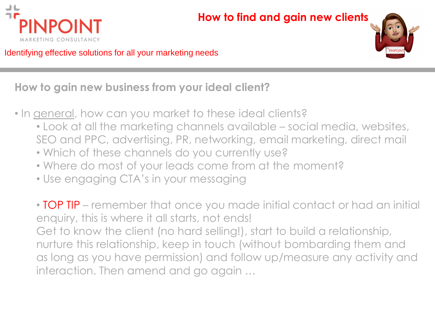



Identifying effective solutions for all your marketing needs

**How to gain new business from your ideal client?** 

- In general, how can you market to these ideal clients?
	- Look at all the marketing channels available social media, websites, SEO and PPC, advertising, PR, networking, email marketing, direct mail
	- Which of these channels do you currently use?
	- Where do most of your leads come from at the moment?
	- Use engaging CTA's in your messaging

• TOP TIP – remember that once you made initial contact or had an initial enquiry, this is where it all starts, not ends! Get to know the client (no hard selling!), start to build a relationship, nurture this relationship, keep in touch (without bombarding them and as long as you have permission) and follow up/measure any activity and interaction. Then amend and go again …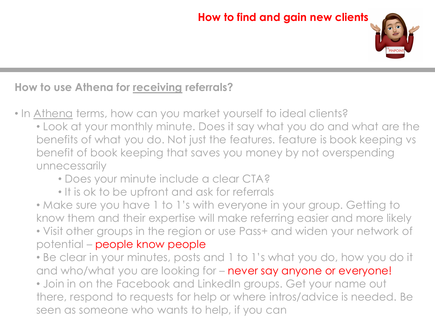

### **How to use Athena for receiving referrals?**

- In Athena terms, how can you market yourself to ideal clients?
	- Look at your monthly minute. Does it say what you do and what are the benefits of what you do. Not just the features. feature is book keeping vs benefit of book keeping that saves you money by not overspending unnecessarily
		- Does your minute include a clear CTA?
		- It is ok to be upfront and ask for referrals

• Make sure you have 1 to 1's with everyone in your group. Getting to know them and their expertise will make referring easier and more likely • Visit other groups in the region or use Pass+ and widen your network of potential – people know people

- Be clear in your minutes, posts and 1 to 1's what you do, how you do it and who/what you are looking for – never say anyone or everyone!
- Join in on the Facebook and LinkedIn groups. Get your name out there, respond to requests for help or where intros/advice is needed. Be seen as someone who wants to help, if you can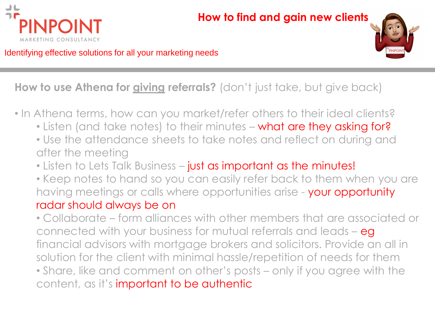



Identifying effective solutions for all your marketing needs

## **How to use Athena for giving referrals?** (don't just take, but give back)

- In Athena terms, how can you market/refer others to their ideal clients?
	- Listen (and take notes) to their minutes what are they asking for?
	- Use the attendance sheets to take notes and reflect on during and after the meeting
	- Listen to Lets Talk Business just as important as the minutes!
	- Keep notes to hand so you can easily refer back to them when you are having meetings or calls where opportunities arise - your opportunity radar should always be on

• Collaborate – form alliances with other members that are associated or connected with your business for mutual referrals and leads - eg financial advisors with mortgage brokers and solicitors. Provide an all in solution for the client with minimal hassle/repetition of needs for them • Share, like and comment on other's posts – only if you agree with the content, as it's important to be authentic